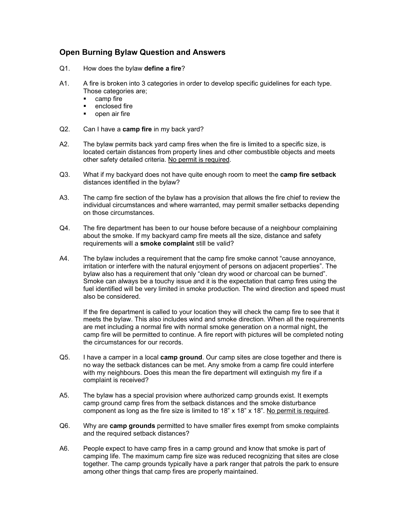## **Open Burning Bylaw Question and Answers**

- Q1. How does the bylaw **define a fire**?
- A1. A fire is broken into 3 categories in order to develop specific guidelines for each type. Those categories are;
	- **camp fire**
	- **•** enclosed fire
	- **•** open air fire
- Q2. Can I have a **camp fire** in my back yard?
- A2. The bylaw permits back yard camp fires when the fire is limited to a specific size, is located certain distances from property lines and other combustible objects and meets other safety detailed criteria. No permit is required.
- Q3. What if my backyard does not have quite enough room to meet the **camp fire setback** distances identified in the bylaw?
- A3. The camp fire section of the bylaw has a provision that allows the fire chief to review the individual circumstances and where warranted, may permit smaller setbacks depending on those circumstances.
- Q4. The fire department has been to our house before because of a neighbour complaining about the smoke. If my backyard camp fire meets all the size, distance and safety requirements will a **smoke complaint** still be valid?
- A4. The bylaw includes a requirement that the camp fire smoke cannot "cause annoyance, irritation or interfere with the natural enjoyment of persons on adjacent properties". The bylaw also has a requirement that only "clean dry wood or charcoal can be burned". Smoke can always be a touchy issue and it is the expectation that camp fires using the fuel identified will be very limited in smoke production. The wind direction and speed must also be considered.

If the fire department is called to your location they will check the camp fire to see that it meets the bylaw. This also includes wind and smoke direction. When all the requirements are met including a normal fire with normal smoke generation on a normal night, the camp fire will be permitted to continue. A fire report with pictures will be completed noting the circumstances for our records.

- Q5. I have a camper in a local **camp ground**. Our camp sites are close together and there is no way the setback distances can be met. Any smoke from a camp fire could interfere with my neighbours. Does this mean the fire department will extinguish my fire if a complaint is received?
- A5. The bylaw has a special provision where authorized camp grounds exist. It exempts camp ground camp fires from the setback distances and the smoke disturbance component as long as the fire size is limited to 18" x 18" x 18". No permit is required.
- Q6. Why are **camp grounds** permitted to have smaller fires exempt from smoke complaints and the required setback distances?
- A6. People expect to have camp fires in a camp ground and know that smoke is part of camping life. The maximum camp fire size was reduced recognizing that sites are close together. The camp grounds typically have a park ranger that patrols the park to ensure among other things that camp fires are properly maintained.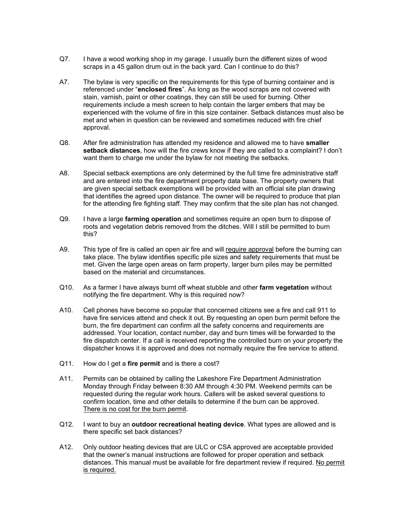- Q7. I have a wood working shop in my garage. I usually burn the different sizes of wood scraps in a 45 gallon drum out in the back yard. Can I continue to do this?
- A7. The bylaw is very specific on the requirements for this type of burning container and is referenced under "**enclosed fires**". As long as the wood scraps are not covered with stain, varnish, paint or other coatings, they can still be used for burning. Other requirements include a mesh screen to help contain the larger embers that may be experienced with the volume of fire in this size container. Setback distances must also be met and when in question can be reviewed and sometimes reduced with fire chief approval.
- Q8. After fire administration has attended my residence and allowed me to have **smaller setback distances**, how will the fire crews know if they are called to a complaint? I don't want them to charge me under the bylaw for not meeting the setbacks.
- A8. Special setback exemptions are only determined by the full time fire administrative staff and are entered into the fire department property data base. The property owners that are given special setback exemptions will be provided with an official site plan drawing that identifies the agreed upon distance. The owner will be required to produce that plan for the attending fire fighting staff. They may confirm that the site plan has not changed.
- Q9. I have a large **farming operation** and sometimes require an open burn to dispose of roots and vegetation debris removed from the ditches. Will I still be permitted to burn this?
- A9. This type of fire is called an open air fire and will require approval before the burning can take place. The bylaw identifies specific pile sizes and safety requirements that must be met. Given the large open areas on farm property, larger burn piles may be permitted based on the material and circumstances.
- Q10. As a farmer I have always burnt off wheat stubble and other **farm vegetation** without notifying the fire department. Why is this required now?
- A10. Cell phones have become so popular that concerned citizens see a fire and call 911 to have fire services attend and check it out. By requesting an open burn permit before the burn, the fire department can confirm all the safety concerns and requirements are addressed. Your location, contact number, day and burn times will be forwarded to the fire dispatch center. If a call is received reporting the controlled burn on your property the dispatcher knows it is approved and does not normally require the fire service to attend.
- Q11. How do I get a **fire permit** and is there a cost?
- A11. Permits can be obtained by calling the Lakeshore Fire Department Administration Monday through Friday between 8:30 AM through 4:30 PM. Weekend permits can be requested during the regular work hours. Callers will be asked several questions to confirm location, time and other details to determine if the burn can be approved. There is no cost for the burn permit.
- Q12. I want to buy an **outdoor recreational heating device**. What types are allowed and is there specific set back distances?
- A12. Only outdoor heating devices that are ULC or CSA approved are acceptable provided that the owner's manual instructions are followed for proper operation and setback distances. This manual must be available for fire department review if required. No permit is required.